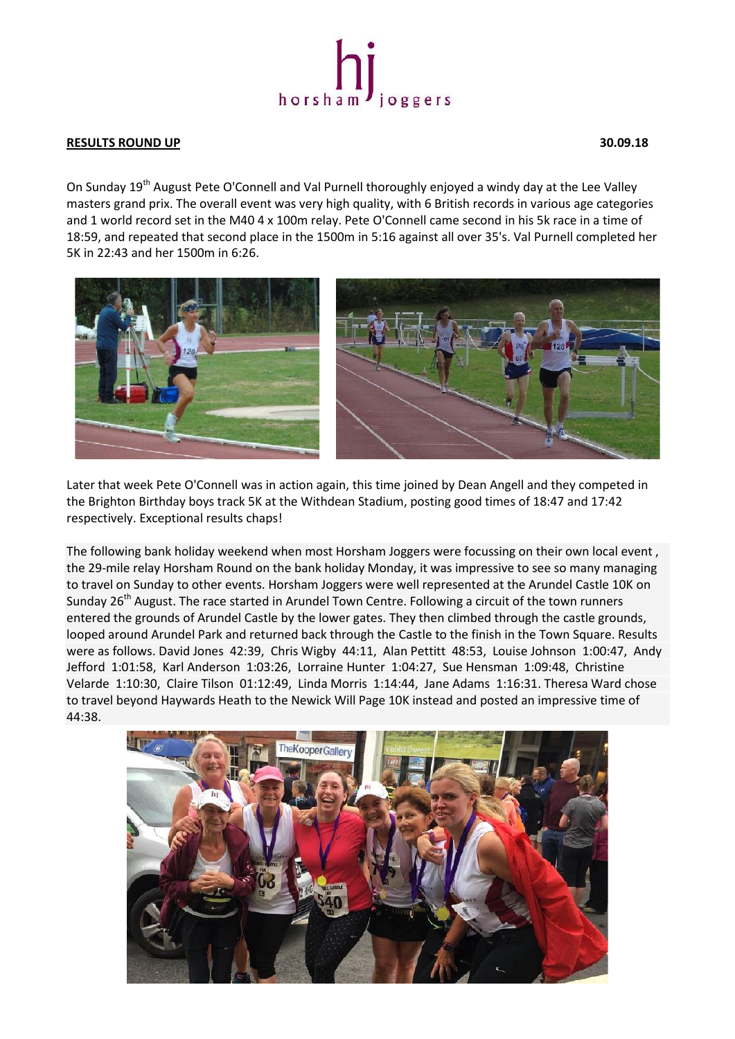

## **RESULTS ROUND UP 30.09.18**

On Sunday 19<sup>th</sup> August Pete O'Connell and Val Purnell thoroughly enjoyed a windy day at the Lee Valley masters grand prix. The overall event was very high quality, with 6 British records in various age categories and 1 world record set in the M40 4 x 100m relay. Pete O'Connell came second in his 5k race in a time of 18:59, and repeated that second place in the 1500m in 5:16 against all over 35's. Val Purnell completed her 5K in 22:43 and her 1500m in 6:26.



Later that week Pete O'Connell was in action again, this time joined by Dean Angell and they competed in the Brighton Birthday boys track 5K at the Withdean Stadium, posting good times of 18:47 and 17:42 respectively. Exceptional results chaps!

The following bank holiday weekend when most Horsham Joggers were focussing on their own local event , the 29-mile relay Horsham Round on the bank holiday Monday, it was impressive to see so many managing to travel on Sunday to other events. Horsham Joggers were well represented at the Arundel Castle 10K on Sunday 26<sup>th</sup> August. The race started in Arundel Town Centre. Following a circuit of the town runners entered the grounds of Arundel Castle by the lower gates. They then climbed through the castle grounds, looped around Arundel Park and returned back through the Castle to the finish in the Town Square. Results were as follows. David Jones 42:39, Chris Wigby 44:11, Alan Pettitt 48:53, Louise Johnson 1:00:47, Andy Jefford 1:01:58, Karl Anderson 1:03:26, Lorraine Hunter 1:04:27, Sue Hensman 1:09:48, Christine Velarde 1:10:30, Claire Tilson 01:12:49, Linda Morris 1:14:44, Jane Adams 1:16:31. Theresa Ward chose to travel beyond Haywards Heath to the Newick Will Page 10K instead and posted an impressive time of 44:38.

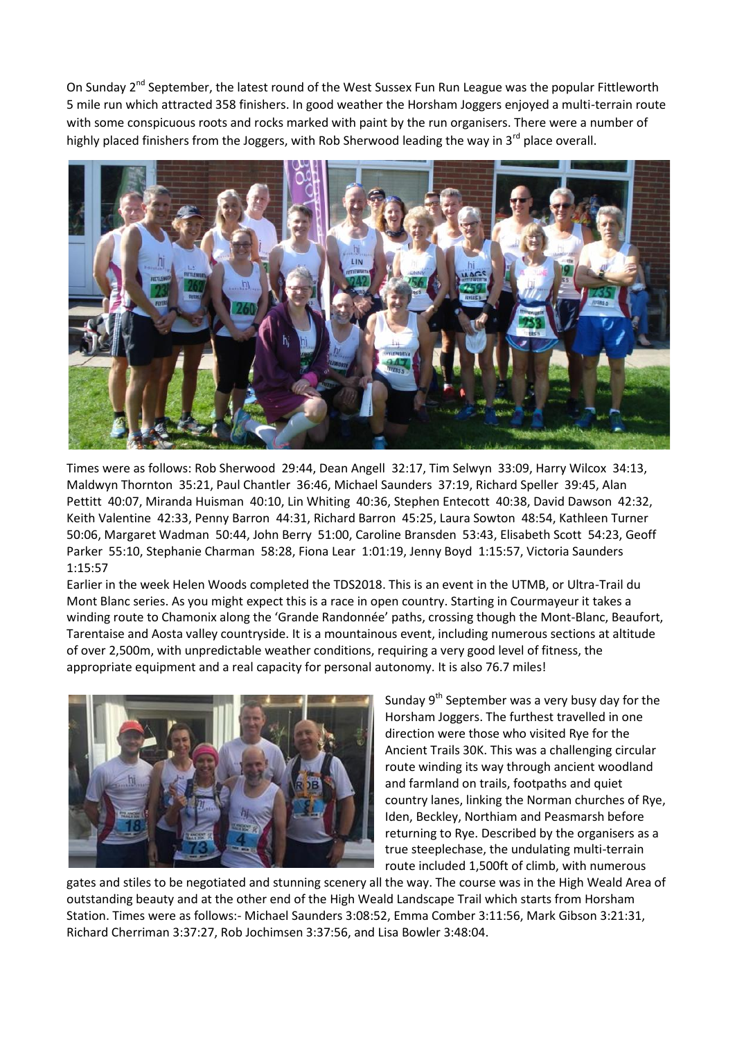On Sundav 2<sup>nd</sup> September, the latest round of the West Sussex Fun Run League was the popular Fittleworth 5 mile run which attracted 358 finishers. In good weather the Horsham Joggers enjoyed a multi-terrain route with some conspicuous roots and rocks marked with paint by the run organisers. There were a number of highly placed finishers from the Joggers, with Rob Sherwood leading the way in  $3^{rd}$  place overall.



Times were as follows: Rob Sherwood 29:44, Dean Angell 32:17, Tim Selwyn 33:09, Harry Wilcox 34:13, Maldwyn Thornton 35:21, Paul Chantler 36:46, Michael Saunders 37:19, Richard Speller 39:45, Alan Pettitt 40:07, Miranda Huisman 40:10, Lin Whiting 40:36, Stephen Entecott 40:38, David Dawson 42:32, Keith Valentine 42:33, Penny Barron 44:31, Richard Barron 45:25, Laura Sowton 48:54, Kathleen Turner 50:06, Margaret Wadman 50:44, John Berry 51:00, Caroline Bransden 53:43, Elisabeth Scott 54:23, Geoff Parker 55:10, Stephanie Charman 58:28, Fiona Lear 1:01:19, Jenny Boyd 1:15:57, Victoria Saunders 1:15:57

Earlier in the week Helen Woods completed the TDS2018. This is an event in the UTMB, or Ultra-Trail du Mont Blanc series. As you might expect this is a race in open country. Starting in Courmayeur it takes a winding route to Chamonix along the 'Grande Randonnée' paths, crossing though the Mont-Blanc, Beaufort, Tarentaise and Aosta valley countryside. It is a mountainous event, including numerous sections at altitude of over 2,500m, with unpredictable weather conditions, requiring a very good level of fitness, the appropriate equipment and a real capacity for personal autonomy. It is also 76.7 miles!



Sunday  $9<sup>th</sup>$  September was a very busy day for the Horsham Joggers. The furthest travelled in one direction were those who visited Rye for the Ancient Trails 30K. This was a challenging circular route winding its way through ancient woodland and farmland on trails, footpaths and quiet country lanes, linking the Norman churches of Rye, Iden, Beckley, Northiam and Peasmarsh before returning to Rye. Described by the organisers as a true steeplechase, the undulating multi-terrain route included 1,500ft of climb, with numerous

gates and stiles to be negotiated and stunning scenery all the way. The course was in the High Weald Area of outstanding beauty and at the other end of the High Weald Landscape Trail which starts from Horsham Station. Times were as follows:- Michael Saunders 3:08:52, Emma Comber 3:11:56, Mark Gibson 3:21:31, Richard Cherriman 3:37:27, Rob Jochimsen 3:37:56, and Lisa Bowler 3:48:04.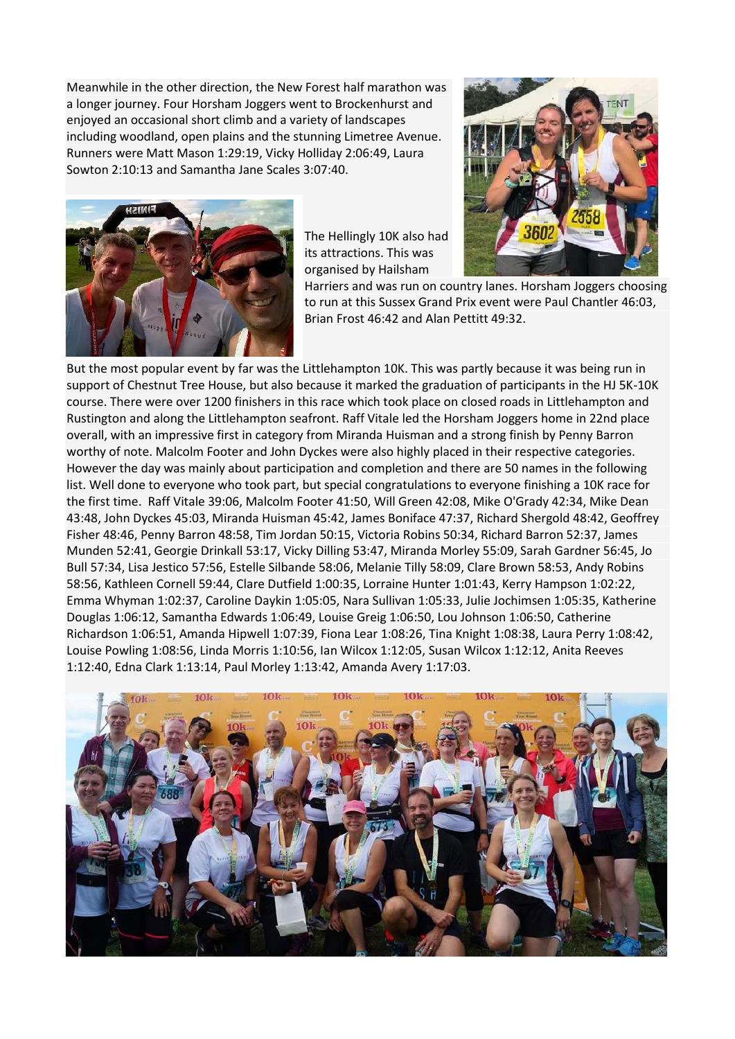Meanwhile in the other direction, the New Forest half marathon was a longer journey. Four Horsham Joggers went to Brockenhurst and enjoyed an occasional short climb and a variety of landscapes including woodland, open plains and the stunning Limetree Avenue. Runners were Matt Mason 1:29:19, Vicky Holliday 2:06:49, Laura Sowton 2:10:13 and Samantha Jane Scales 3:07:40.



The Hellingly 10K also had its attractions. This was organised by Hailsham



Harriers and was run on country lanes. Horsham Joggers choosing to run at this Sussex Grand Prix event were Paul Chantler 46:03, Brian Frost 46:42 and Alan Pettitt 49:32.

But the most popular event by far was the Littlehampton 10K. This was partly because it was being run in support of Chestnut Tree House, but also because it marked the graduation of participants in the HJ 5K-10K course. There were over 1200 finishers in this race which took place on closed roads in Littlehampton and Rustington and along the Littlehampton seafront. Raff Vitale led the Horsham Joggers home in 22nd place overall, with an impressive first in category from Miranda Huisman and a strong finish by Penny Barron worthy of note. Malcolm Footer and John Dyckes were also highly placed in their respective categories. However the day was mainly about participation and completion and there are 50 names in the following list. Well done to everyone who took part, but special congratulations to everyone finishing a 10K race for the first time. Raff Vitale 39:06, Malcolm Footer 41:50, Will Green 42:08, Mike O'Grady 42:34, Mike Dean 43:48, John Dyckes 45:03, Miranda Huisman 45:42, James Boniface 47:37, Richard Shergold 48:42, Geoffrey Fisher 48:46, Penny Barron 48:58, Tim Jordan 50:15, Victoria Robins 50:34, Richard Barron 52:37, James Munden 52:41, Georgie Drinkall 53:17, Vicky Dilling 53:47, Miranda Morley 55:09, Sarah Gardner 56:45, Jo Bull 57:34, Lisa Jestico 57:56, Estelle Silbande 58:06, Melanie Tilly 58:09, Clare Brown 58:53, Andy Robins 58:56, Kathleen Cornell 59:44, Clare Dutfield 1:00:35, Lorraine Hunter 1:01:43, Kerry Hampson 1:02:22, Emma Whyman 1:02:37, Caroline Daykin 1:05:05, Nara Sullivan 1:05:33, Julie Jochimsen 1:05:35, Katherine Douglas 1:06:12, Samantha Edwards 1:06:49, Louise Greig 1:06:50, Lou Johnson 1:06:50, Catherine Richardson 1:06:51, Amanda Hipwell 1:07:39, Fiona Lear 1:08:26, Tina Knight 1:08:38, Laura Perry 1:08:42, Louise Powling 1:08:56, Linda Morris 1:10:56, Ian Wilcox 1:12:05, Susan Wilcox 1:12:12, Anita Reeves 1:12:40, Edna Clark 1:13:14, Paul Morley 1:13:42, Amanda Avery 1:17:03.

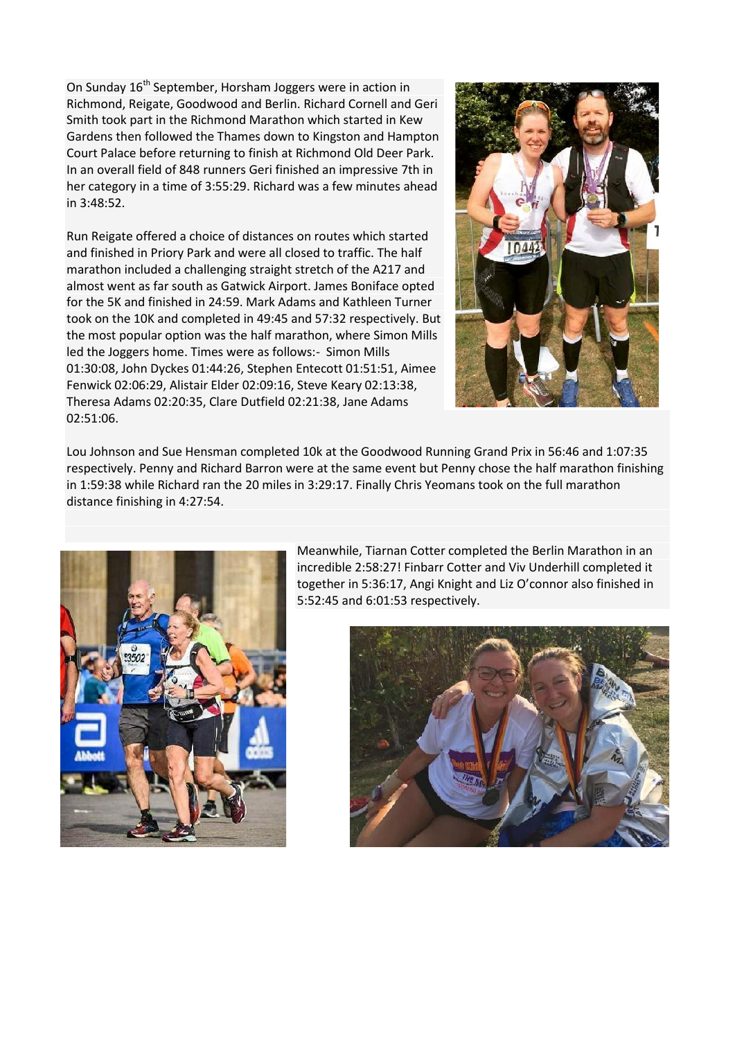On Sunday 16<sup>th</sup> September, Horsham Joggers were in action in Richmond, Reigate, Goodwood and Berlin. Richard Cornell and Geri Smith took part in the Richmond Marathon which started in Kew Gardens then followed the Thames down to Kingston and Hampton Court Palace before returning to finish at Richmond Old Deer Park. In an overall field of 848 runners Geri finished an impressive 7th in her category in a time of 3:55:29. Richard was a few minutes ahead in 3:48:52.

Run Reigate offered a choice of distances on routes which started and finished in Priory Park and were all closed to traffic. The half marathon included a challenging straight stretch of the A217 and almost went as far south as Gatwick Airport. James Boniface opted for the 5K and finished in 24:59. Mark Adams and Kathleen Turner took on the 10K and completed in 49:45 and 57:32 respectively. But the most popular option was the half marathon, where Simon Mills led the Joggers home. Times were as follows:- Simon Mills 01:30:08, John Dyckes 01:44:26, Stephen Entecott 01:51:51, Aimee Fenwick 02:06:29, Alistair Elder 02:09:16, Steve Keary 02:13:38, Theresa Adams 02:20:35, Clare Dutfield 02:21:38, Jane Adams 02:51:06.



Lou Johnson and Sue Hensman completed 10k at the Goodwood Running Grand Prix in 56:46 and 1:07:35 respectively. Penny and Richard Barron were at the same event but Penny chose the half marathon finishing in 1:59:38 while Richard ran the 20 miles in 3:29:17. Finally Chris Yeomans took on the full marathon distance finishing in 4:27:54.



Meanwhile, Tiarnan Cotter completed the Berlin Marathon in an incredible 2:58:27! Finbarr Cotter and Viv Underhill completed it together in 5:36:17, Angi Knight and Liz O'connor also finished in 5:52:45 and 6:01:53 respectively.